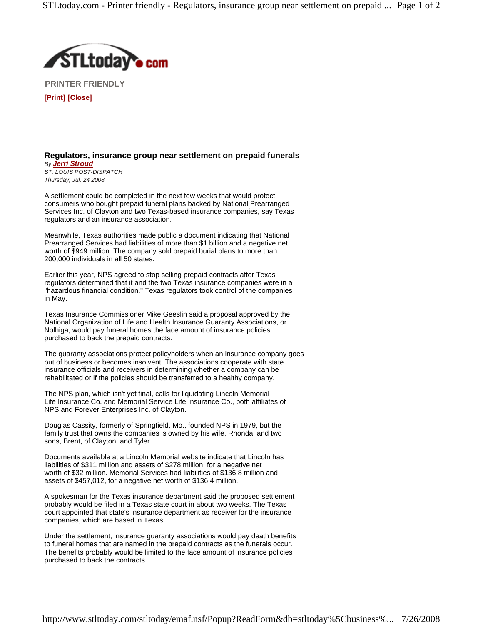

**PRINTER FRIENDLY [Print] [Close]**

**Regulators, insurance group near settlement on prepaid funerals**

*By Jerri Stroud ST. LOUIS POST-DISPATCH Thursday, Jul. 24 2008*

A settlement could be completed in the next few weeks that would protect consumers who bought prepaid funeral plans backed by National Prearranged Services Inc. of Clayton and two Texas-based insurance companies, say Texas regulators and an insurance association.

Meanwhile, Texas authorities made public a document indicating that National Prearranged Services had liabilities of more than \$1 billion and a negative net worth of \$949 million. The company sold prepaid burial plans to more than 200,000 individuals in all 50 states.

Earlier this year, NPS agreed to stop selling prepaid contracts after Texas regulators determined that it and the two Texas insurance companies were in a "hazardous financial condition." Texas regulators took control of the companies in May.

Texas Insurance Commissioner Mike Geeslin said a proposal approved by the National Organization of Life and Health Insurance Guaranty Associations, or Nolhiga, would pay funeral homes the face amount of insurance policies purchased to back the prepaid contracts.

The guaranty associations protect policyholders when an insurance company goes out of business or becomes insolvent. The associations cooperate with state insurance officials and receivers in determining whether a company can be rehabilitated or if the policies should be transferred to a healthy company.

The NPS plan, which isn't yet final, calls for liquidating Lincoln Memorial Life Insurance Co. and Memorial Service Life Insurance Co., both affiliates of NPS and Forever Enterprises Inc. of Clayton.

Douglas Cassity, formerly of Springfield, Mo., founded NPS in 1979, but the family trust that owns the companies is owned by his wife, Rhonda, and two sons, Brent, of Clayton, and Tyler.

Documents available at a Lincoln Memorial website indicate that Lincoln has liabilities of \$311 million and assets of \$278 million, for a negative net worth of \$32 million. Memorial Services had liabilities of \$136.8 million and assets of \$457,012, for a negative net worth of \$136.4 million.

A spokesman for the Texas insurance department said the proposed settlement probably would be filed in a Texas state court in about two weeks. The Texas court appointed that state's insurance department as receiver for the insurance companies, which are based in Texas.

Under the settlement, insurance guaranty associations would pay death benefits to funeral homes that are named in the prepaid contracts as the funerals occur. The benefits probably would be limited to the face amount of insurance policies purchased to back the contracts.